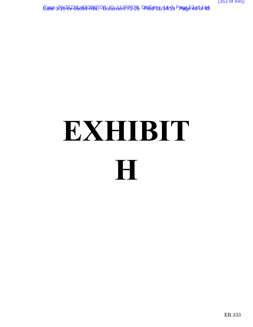Case:3:16357-05694/796202BolDin1dr167BZ& DKtE0t111/14/13 PP9065406148

# **EXHIBIT H**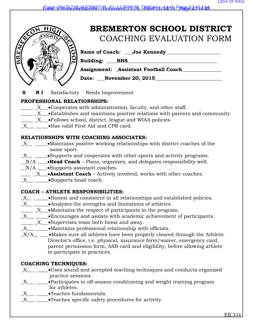<u>Ease:3 D6352 O5604/7962020, Din1dri62BZO, DktEntry: 14/3, Page 53 pb1 44</u>



# **BREMERTON SCHOOL DISTRICT** COACHING EVALUATION FORM

Name of Coach: Joe Kennedy

**Building: BHS** 

**Assignment: \_Assistant Football Coach\_\_\_\_\_\_\_\_\_\_\_\_\_\_\_\_**

**Date:** November 20, 2015

**S N I** Satisfactory Needs Improvement

## **PROFESSIONAL RELATIONSHIPS:**

- $\underline{\hspace{1cm}} X$   $\bullet$  Cooperates with administration, faculty, and other staff.
- $\mathbf{X}$   $\bullet$  Establishes and maintains positive relations with parents and community.
- \_\_\_\_\_ \_X\_\_\_•Follows school, district, league and WIAA policies.
- X Has valid First Aid and CPR card.

## **RELATIONSHIPS WITH COACHING ASSOCIATES:**

- \_X\_\_ \_\_\_\_\_•Maintains positive working relationships with district coaches of the same sport.
- $X_{\text{max}}$   $\sim$  Supports and cooperates with other sports and activity programs.
- **\_\_**N/A **\_\_\_\_**•**Head Coach** Plans, organizes, and delegates responsibility well.
- $N/A$   $\bullet$  Supports assistant coaches.
- **\_\_\_\_ \_**X**\_\_\_**•**Assistant Coach** Actively involved, works with other coaches.
- X Supports head coach.

## **COACH – ATHLETE RESPONSIBILITIES:**

- $X$   $\longrightarrow$  •Honest and consistent in all relationships and established policies.
- $X$   $\_\_\_\_\$   $\_\_\_\$  Analyzes the strengths and limitations of athletes.
- $\underline{\hspace{1cm}} X$   $\underline{\hspace{1cm}}$  Maintains the respect of participants in the program.
- $X$   $\longrightarrow$  •Encourages and assists with academic achievement of participants.
- $\underline{\hspace{1cm}} X$   $\underline{\hspace{1cm}}$  Supervises team both home and away.
- $X$   $\_\_\_\_\$   $\_\_\$  Maintains professional relationship with officials.
- $N/A$ <sub>\_\_</sub> •Makes sure all athletes have been properly cleared through the Athletic Director's office, i.e. physical, insurance form/waiver, emergency card, parent permission form, ASB card and eligibility, before allowing athlete to participate in practices.

# **COACHING TECHNIQUES:**

- $X$ <sub>\_\_\_</sub>  $\blacksquare$  Uses sound and accepted teaching techniques and conducts organized practice sessions.
- X Participates in off-season conditioning and weight training program for athletes.
- X Teaches fundamentals.
- $X$   $\blacksquare$   $\blacksquare$   $\blacksquare$  Teaches specific safety procedures for activity.